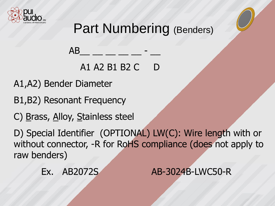

## Part Numbering (Benders)

A1 A2 B1 B2 C D

A1,A2) Bender Diameter

B1,B2) Resonant Frequency

C) Brass, Alloy, Stainless steel

AB

D) Special Identifier (OPTIONAL) LW(C): Wire length with or without connector, -R for RoHS compliance (does not apply to raw benders)

Ex. AB2072S AB-3024B-LWC50-R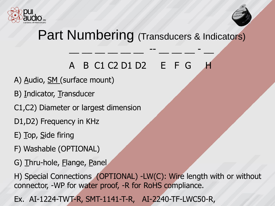



## Part Numbering (Transducers & Indicators)

#### A B C1 C2 D1 D2 E F G

 $\mathcal{L} = \mathcal{L} = \mathcal{L} = \mathcal{L} = \mathcal{L} = \mathcal{L} = \mathcal{L} = \mathcal{L} = \mathcal{L} = \mathcal{L} = \mathcal{L} = \mathcal{L} = \mathcal{L} = \mathcal{L} = \mathcal{L} = \mathcal{L} = \mathcal{L} = \mathcal{L} = \mathcal{L} = \mathcal{L} = \mathcal{L} = \mathcal{L} = \mathcal{L} = \mathcal{L} = \mathcal{L} = \mathcal{L} = \mathcal{L} = \mathcal{L} = \mathcal{L} = \mathcal{L} = \mathcal{L} = \mathcal$ 

- A) Audio, SM (surface mount)
- B) Indicator, Transducer
- C1,C2) Diameter or largest dimension
- D1,D2) Frequency in KHz
- E) Top, Side firing
- F) Washable (OPTIONAL)
- G) Thru-hole, Elange, Panel

H) Special Connections (OPTIONAL) -LW(C): Wire length with or without connector, -WP for water proof, -R for RoHS compliance.

Ex. AI-1224-TWT-R, SMT-1141-T-R, AI-2240-TF-LWC50-R,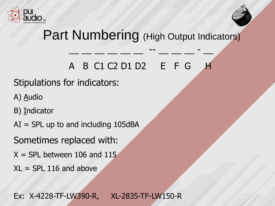



## Part Numbering (High Output Indicators)

### A B C1 C2 D1 D2 E F G H

 $\mathcal{L} = \mathcal{L} = \mathcal{L} = \mathcal{L} = \mathcal{L} = \mathcal{L} = \mathcal{L} = \mathcal{L} = \mathcal{L} = \mathcal{L} = \mathcal{L} = \mathcal{L} = \mathcal{L} = \mathcal{L} = \mathcal{L} = \mathcal{L} = \mathcal{L} = \mathcal{L} = \mathcal{L} = \mathcal{L} = \mathcal{L} = \mathcal{L} = \mathcal{L} = \mathcal{L} = \mathcal{L} = \mathcal{L} = \mathcal{L} = \mathcal{L} = \mathcal{L} = \mathcal{L} = \mathcal{L} = \mathcal$ 

#### Stipulations for indicators:

- A) Audio
- B) Indicator
- $AI = SPI$  up to and including 105dBA
- Sometimes replaced with:
- $X =$  SPL between 106 and 115
- $XL = SPI 116$  and above

Ex: X-4228-TF-LW390-R, XL-2835-TF-LW150-R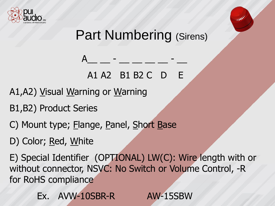



**CONTACT** 

# A1 A2 B1 B2 C D E

 $A_\mu = A_\mu + A_\mu$  , where  $A_\mu = A_\mu$ 

A1,A2) Visual Warning or Warning

B1,B2) Product Series

C) Mount type; Elange, Panel, Short Base

D) Color; Red, White

E) Special Identifier (OPTIONAL) LW(C): Wire length with or without connector, NSVC: No Switch or Volume Control, -R for RoHS compliance

Ex. AVW-10SBR-R AW-15SBW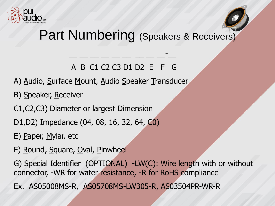



## Part Numbering (Speakers & Receivers)

A B C1 C2 C3 D1 D2 E F G

 $\frac{1}{2}$  , and the set of  $\frac{1}{2}$  , and the set of  $\frac{1}{2}$ 

A) Audio, Surface Mount, Audio Speaker Transducer

B) Speaker, Receiver

C1,C2,C3) Diameter or largest Dimension

D1,D2) Impedance (04, 08, 16, 32, 64, C0)

E) Paper, Mylar, etc

F) Round, Square, Oval, Pinwheel

G) Special Identifier (OPTIONAL) -LW(C): Wire length with or without connector, -WR for water resistance, -R for RoHS compliance

Ex. AS05008MS-R, AS05708MS-LW305-R, AS03504PR-WR-R